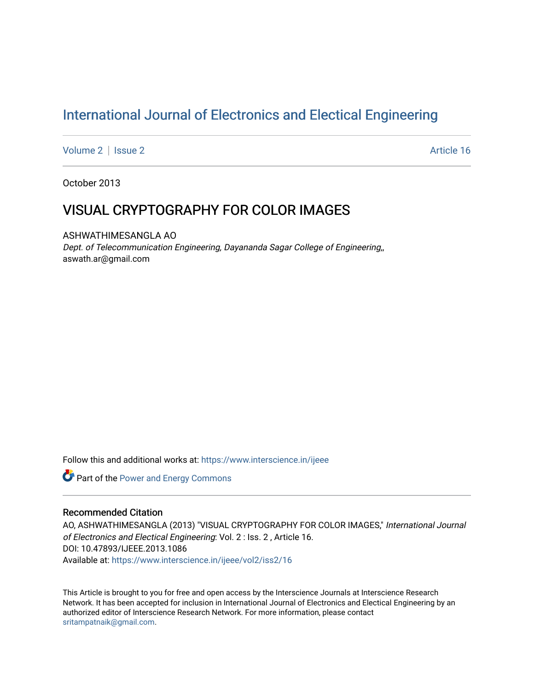# [International Journal of Electronics and Electical Engineering](https://www.interscience.in/ijeee)

[Volume 2](https://www.interscience.in/ijeee/vol2) | [Issue 2](https://www.interscience.in/ijeee/vol2/iss2) Article 16

October 2013

## VISUAL CRYPTOGRAPHY FOR COLOR IMAGES

ASHWATHIMESANGLA AO Dept. of Telecommunication Engineering, Dayananda Sagar College of Engineering,, aswath.ar@gmail.com

Follow this and additional works at: [https://www.interscience.in/ijeee](https://www.interscience.in/ijeee?utm_source=www.interscience.in%2Fijeee%2Fvol2%2Fiss2%2F16&utm_medium=PDF&utm_campaign=PDFCoverPages)

**Part of the Power and Energy Commons** 

## Recommended Citation

AO, ASHWATHIMESANGLA (2013) "VISUAL CRYPTOGRAPHY FOR COLOR IMAGES," International Journal of Electronics and Electical Engineering: Vol. 2 : Iss. 2 , Article 16. DOI: 10.47893/IJEEE.2013.1086 Available at: [https://www.interscience.in/ijeee/vol2/iss2/16](https://www.interscience.in/ijeee/vol2/iss2/16?utm_source=www.interscience.in%2Fijeee%2Fvol2%2Fiss2%2F16&utm_medium=PDF&utm_campaign=PDFCoverPages)

This Article is brought to you for free and open access by the Interscience Journals at Interscience Research Network. It has been accepted for inclusion in International Journal of Electronics and Electical Engineering by an authorized editor of Interscience Research Network. For more information, please contact [sritampatnaik@gmail.com](mailto:sritampatnaik@gmail.com).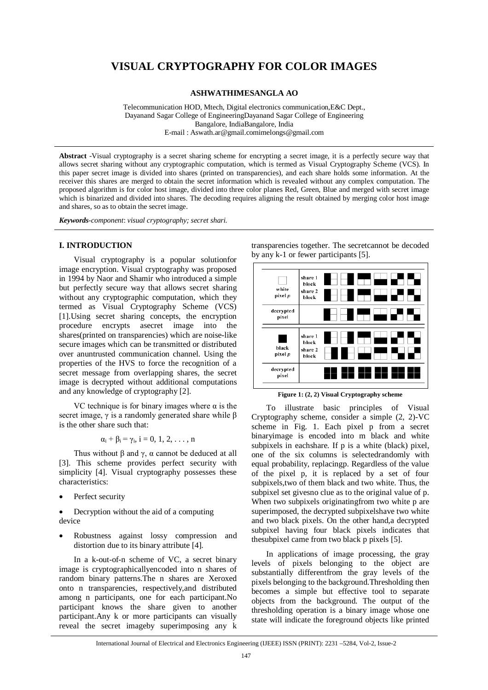## **VISUAL CRYPTOGRAPHY FOR COLOR IMAGES**

**ASHWATHIMESANGLA AO**

Telecommunication HOD, Mtech, Digital electronics communication,E&C Dept., Dayanand Sagar College of EngineeringDayanand Sagar College of Engineering Bangalore, IndiaBangalore, India E-mail : Aswath.ar@gmail.comimelongs@gmail.com

**Abstract** -Visual cryptography is a secret sharing scheme for encrypting a secret image, it is a perfectly secure way that allows secret sharing without any cryptographic computation, which is termed as Visual Cryptography Scheme (VCS). In this paper secret image is divided into shares (printed on transparencies), and each share holds some information. At the receiver this shares are merged to obtain the secret information which is revealed without any complex computation. The proposed algorithm is for color host image, divided into three color planes Red, Green, Blue and merged with secret image which is binarized and divided into shares. The decoding requires aligning the result obtained by merging color host image and shares, so as to obtain the secret image.

*Keywords-component*: *visual cryptography; secret shari.*

#### **I. INTRODUCTION**

Visual cryptography is a popular solutionfor image encryption. Visual cryptography was proposed in 1994 by Naor and Shamir who introduced a simple but perfectly secure way that allows secret sharing without any cryptographic computation, which they termed as Visual Cryptography Scheme (VCS) [1].Using secret sharing concepts, the encryption procedure encrypts asecret image into the shares(printed on transparencies) which are noise-like secure images which can be transmitted or distributed over anuntrusted communication channel. Using the properties of the HVS to force the recognition of a secret message from overlapping shares, the secret image is decrypted without additional computations and any knowledge of cryptography [2].

VC technique is for binary images where  $\alpha$  is the secret image,  $\gamma$  is a randomly generated share while  $\beta$ is the other share such that:

$$
\alpha_i+\beta_i=\gamma_i,\,i=0,\,1,\,2,\,\ldots\,,\,n
$$

Thus without β and γ,  $\alpha$  cannot be deduced at all [3]. This scheme provides perfect security with simplicity [4]. Visual cryptography possesses these characteristics:

- Perfect security
- Decryption without the aid of a computing device
- Robustness against lossy compression and distortion due to its binary attribute [4].

In a k-out-of-n scheme of VC, a secret binary image is cryptographicallyencoded into n shares of random binary patterns.The n shares are Xeroxed onto n transparencies, respectively,and distributed among n participants, one for each participant.No participant knows the share given to another participant.Any k or more participants can visually reveal the secret imageby superimposing any k

transparencies together. The secretcannot be decoded by any k-1 or fewer participants [5].



**Figure 1: (2, 2) Visual Cryptography scheme**

To illustrate basic principles of Visual Cryptography scheme, consider a simple (2, 2)-VC scheme in Fig. 1. Each pixel p from a secret binaryimage is encoded into m black and white subpixels in eachshare. If p is a white (black) pixel, one of the six columns is selectedrandomly with equal probability, replacingp. Regardless of the value of the pixel p, it is replaced by a set of four subpixels,two of them black and two white. Thus, the subpixel set givesno clue as to the original value of p. When two subpixels originatingfrom two white p are superimposed, the decrypted subpixelshave two white and two black pixels. On the other hand,a decrypted subpixel having four black pixels indicates that thesubpixel came from two black p pixels [5].

In applications of image processing, the gray levels of pixels belonging to the object are substantially differentfrom the gray levels of the pixels belonging to the background.Thresholding then becomes a simple but effective tool to separate objects from the background. The output of the thresholding operation is a binary image whose one state will indicate the foreground objects like printed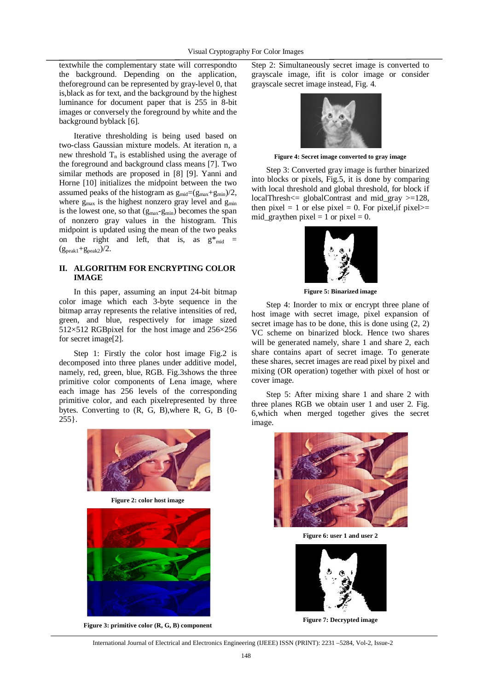textwhile the complementary state will correspondto the background. Depending on the application, theforeground can be represented by gray-level 0, that is,black as for text, and the background by the highest luminance for document paper that is 255 in 8-bit images or conversely the foreground by white and the background byblack [6].

Iterative thresholding is being used based on two-class Gaussian mixture models. At iteration n, a new threshold  $T_n$  is established using the average of the foreground and background class means [7]. Two similar methods are proposed in [8] [9]. Yanni and Horne [10] initializes the midpoint between the two assumed peaks of the histogram as  $g_{mid}=(g_{max}+g_{min})/2$ , where  $g_{\text{max}}$  is the highest nonzero gray level and  $g_{\text{min}}$ is the lowest one, so that  $(g_{max} - g_{min})$  becomes the span of nonzero gray values in the histogram. This midpoint is updated using the mean of the two peaks on the right and left, that is, as  $g^*_{mid}$  =  $(g_{\text{peak1}}+g_{\text{peak2}})/2$ .

### **II. ALGORITHM FOR ENCRYPTING COLOR IMAGE**

In this paper, assuming an input 24-bit bitmap color image which each 3-byte sequence in the bitmap array represents the relative intensities of red, green, and blue, respectively for image sized 512×512 RGBpixel for the host image and 256×256 for secret image[2].

Step 1: Firstly the color host image Fig.2 is decomposed into three planes under additive model, namely, red, green, blue, RGB. Fig.3shows the three primitive color components of Lena image, where each image has 256 levels of the corresponding primitive color, and each pixelrepresented by three bytes. Converting to (R, G, B),where R, G, B {0- 255}.



**Figure 2: color host image**



**Figure 3: primitive color (R, G, B) component**

Step 2: Simultaneously secret image is converted to grayscale image, ifit is color image or consider grayscale secret image instead, Fig. 4.



**Figure 4: Secret image converted to gray image**

Step 3: Converted gray image is further binarized into blocks or pixels, Fig.5, it is done by comparing with local threshold and global threshold, for block if localThresh<= globalContrast and mid\_gray >=128, then pixel = 1 or else pixel = 0. For pixel, if pixel >= mid\_graythen pixel = 1 or pixel = 0.



**Figure 5: Binarized image**

Step 4: Inorder to mix or encrypt three plane of host image with secret image, pixel expansion of secret image has to be done, this is done using (2, 2) VC scheme on binarized block. Hence two shares will be generated namely, share 1 and share 2, each share contains apart of secret image. To generate these shares, secret images are read pixel by pixel and mixing (OR operation) together with pixel of host or cover image.

Step 5: After mixing share 1 and share 2 with three planes RGB we obtain user 1 and user 2. Fig. 6,which when merged together gives the secret image.



**Figure 6: user 1 and user 2**



**Figure 7: Decrypted image**

International Journal of Electrical and Electronics Engineering (IJEEE) ISSN (PRINT): 2231 –5284, Vol-2, Issue-2